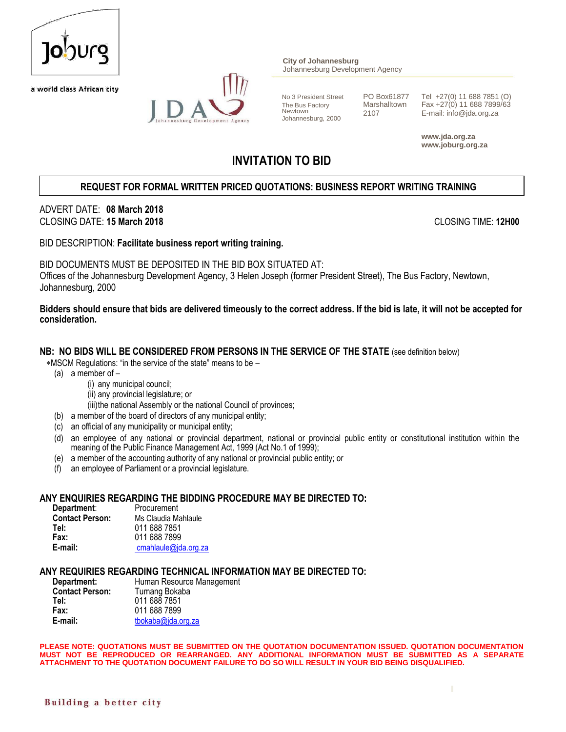

a world class African city



**City of Johannesburg** Johannesburg Development Agency

Newtown <sup>2107</sup> E-mail: info@jda.org.za Johannesburg, 2000

No 3 President Street PO Box61877 Tel +27(0) 11 688 7851 (O)<br>The Bus Factory Marshalltown Fax +27(0) 11 688 7899/63 The Bus Factory Marshalltown  $\frac{1}{2107}$  Fax +27(0) 11 688 7899/63<br>Newtown 2107 Frail: info@ide.org.ze

> **www.jda.org.za www.joburg.org.za**

# **INVITATION TO BID**

# **REQUEST FOR FORMAL WRITTEN PRICED QUOTATIONS: BUSINESS REPORT WRITING TRAINING**

### ADVERT DATE: **08 March 2018** CLOSING DATE: **15 March 2018** CLOSING TIME: **12H00**

#### BID DESCRIPTION: **Facilitate business report writing training.**

BID DOCUMENTS MUST BE DEPOSITED IN THE BID BOX SITUATED AT: Offices of the Johannesburg Development Agency, 3 Helen Joseph (former President Street), The Bus Factory, Newtown, Johannesburg, 2000

#### **Bidders should ensure that bids are delivered timeously to the correct address. If the bid is late, it will not be accepted for consideration.**

#### **NB: NO BIDS WILL BE CONSIDERED FROM PERSONS IN THE SERVICE OF THE STATE** (see definition below)

MSCM Regulations: "in the service of the state" means to be –

- (a) a member of
	- (i) any municipal council;
	- (ii) any provincial legislature; or
	- (iii)the national Assembly or the national Council of provinces;
- (b) a member of the board of directors of any municipal entity;
- (c) an official of any municipality or municipal entity;
- (d) an employee of any national or provincial department, national or provincial public entity or constitutional institution within the meaning of the Public Finance Management Act, 1999 (Act No.1 of 1999);
- (e) a member of the accounting authority of any national or provincial public entity; or
- (f) an employee of Parliament or a provincial legislature.

# **ANY ENQUIRIES REGARDING THE BIDDING PROCEDURE MAY BE DIRECTED TO:**

| Department:            | Procurement          |
|------------------------|----------------------|
| <b>Contact Person:</b> | Ms Claudia Mahlaule  |
| Tel:                   | 011 688 7851         |
| Fax:                   | 011 688 7899         |
| E-mail:                | cmahlaule@jda.org.za |

# **ANY REQUIRIES REGARDING TECHNICAL INFORMATION MAY BE DIRECTED TO:**

| Human Resource Management |
|---------------------------|
| Tumang Bokaba             |
| 011 688 7851              |
| 011 688 7899              |
| tbokaba@jda.org.za        |
|                           |

**PLEASE NOTE: QUOTATIONS MUST BE SUBMITTED ON THE QUOTATION DOCUMENTATION ISSUED. QUOTATION DOCUMENTATION MUST NOT BE REPRODUCED OR REARRANGED. ANY ADDITIONAL INFORMATION MUST BE SUBMITTED AS A SEPARATE ATTACHMENT TO THE QUOTATION DOCUMENT FAILURE TO DO SO WILL RESULT IN YOUR BID BEING DISQUALIFIED.**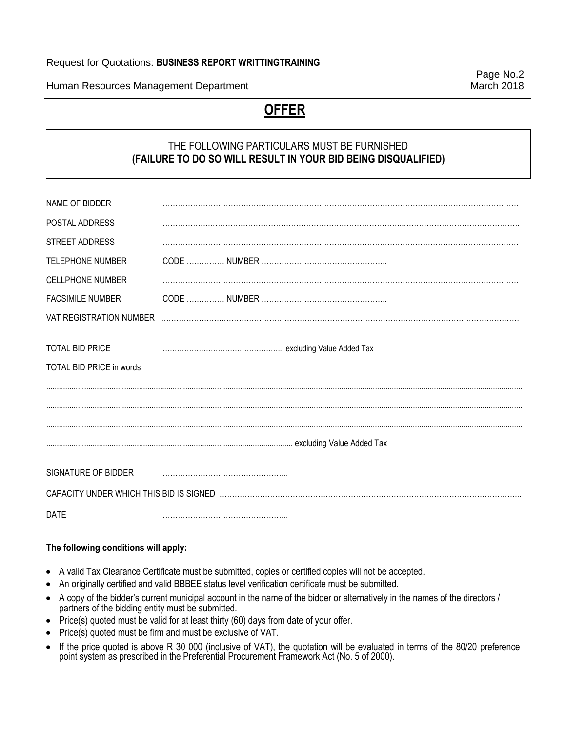### Request for Quotations: **BUSINESS REPORT WRITTINGTRAINING**

Human Resources Management Department March 2018

Page No.2

# **OFFER**

# THE FOLLOWING PARTICULARS MUST BE FURNISHED **(FAILURE TO DO SO WILL RESULT IN YOUR BID BEING DISQUALIFIED)**

| NAME OF BIDDER                  |  |
|---------------------------------|--|
| POSTAL ADDRESS                  |  |
| STREET ADDRESS                  |  |
| <b>TELEPHONE NUMBER</b>         |  |
| <b>CELLPHONE NUMBER</b>         |  |
| <b>FACSIMILE NUMBER</b>         |  |
| VAT REGISTRATION NUMBER         |  |
|                                 |  |
| TOTAL BID PRICE                 |  |
| <b>TOTAL BID PRICE in words</b> |  |
|                                 |  |
|                                 |  |
|                                 |  |
|                                 |  |
|                                 |  |
| SIGNATURE OF BIDDER             |  |
|                                 |  |
| <b>DATE</b>                     |  |

# **The following conditions will apply:**

- A valid Tax Clearance Certificate must be submitted, copies or certified copies will not be accepted.
- An originally certified and valid BBBEE status level verification certificate must be submitted.
- A copy of the bidder's current municipal account in the name of the bidder or alternatively in the names of the directors / partners of the bidding entity must be submitted.
- Price(s) quoted must be valid for at least thirty (60) days from date of your offer.
- Price(s) quoted must be firm and must be exclusive of VAT.
- If the price quoted is above R 30 000 (inclusive of VAT), the quotation will be evaluated in terms of the 80/20 preference point system as prescribed in the Preferential Procurement Framework Act (No. 5 of 2000).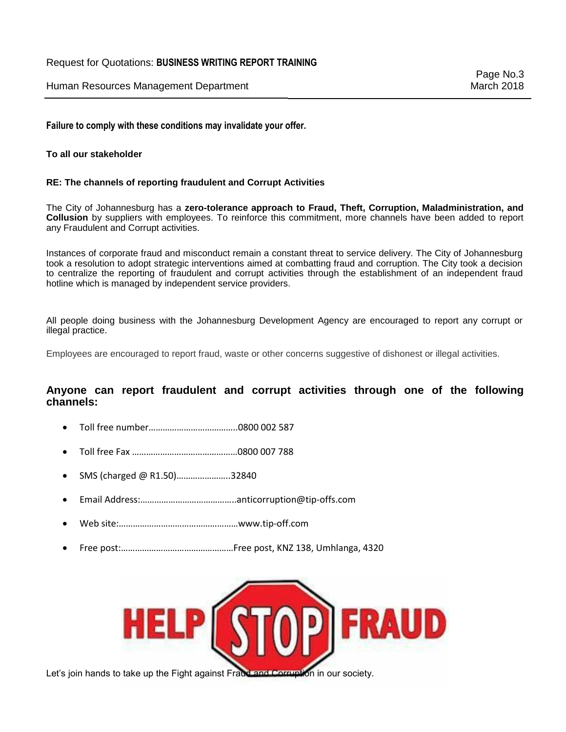#### Request for Quotations: **BUSINESS WRITING REPORT TRAINING**

Human Resources Management Department March 2018

**Failure to comply with these conditions may invalidate your offer.**

#### **To all our stakeholder**

#### **RE: The channels of reporting fraudulent and Corrupt Activities**

The City of Johannesburg has a **zero-tolerance approach to Fraud, Theft, Corruption, Maladministration, and Collusion** by suppliers with employees. To reinforce this commitment, more channels have been added to report any Fraudulent and Corrupt activities.

Instances of corporate fraud and misconduct remain a constant threat to service delivery. The City of Johannesburg took a resolution to adopt strategic interventions aimed at combatting fraud and corruption. The City took a decision to centralize the reporting of fraudulent and corrupt activities through the establishment of an independent fraud hotline which is managed by independent service providers.

All people doing business with the Johannesburg Development Agency are encouraged to report any corrupt or illegal practice.

Employees are encouraged to report fraud, waste or other concerns suggestive of dishonest or illegal activities.

### **Anyone can report fraudulent and corrupt activities through one of the following channels:**

- Toll free number………………………………..0800 002 587
- Toll free Fax ………………………………………0800 007 788
- SMS (charged @ R1.50)…………………..32840
- Email Address:…………………………………..anticorruption@tip-offs.com
- Web site:……………………………………………www.tip-off.com
- Free post:…………………………………………Free post, KNZ 138, Umhlanga, 4320



Let's join hands to take up the Fight against Fraud and Corruption in our society.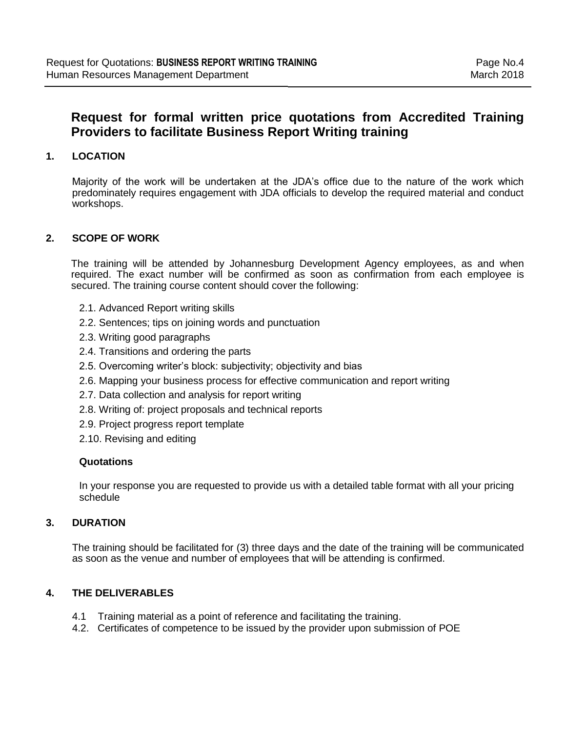# **Request for formal written price quotations from Accredited Training Providers to facilitate Business Report Writing training**

# **1. LOCATION**

Majority of the work will be undertaken at the JDA's office due to the nature of the work which predominately requires engagement with JDA officials to develop the required material and conduct workshops.

# **2. SCOPE OF WORK**

The training will be attended by Johannesburg Development Agency employees, as and when required. The exact number will be confirmed as soon as confirmation from each employee is secured. The training course content should cover the following:

- 2.1. Advanced Report writing skills
- 2.2. Sentences; tips on joining words and punctuation
- 2.3. Writing good paragraphs
- 2.4. Transitions and ordering the parts
- 2.5. Overcoming writer's block: subjectivity; objectivity and bias
- 2.6. Mapping your business process for effective communication and report writing
- 2.7. Data collection and analysis for report writing
- 2.8. Writing of: project proposals and technical reports
- 2.9. Project progress report template
- 2.10. Revising and editing

#### **Quotations**

In your response you are requested to provide us with a detailed table format with all your pricing schedule

# **3. DURATION**

The training should be facilitated for (3) three days and the date of the training will be communicated as soon as the venue and number of employees that will be attending is confirmed.

# **4. THE DELIVERABLES**

- 4.1 Training material as a point of reference and facilitating the training.
- 4.2. Certificates of competence to be issued by the provider upon submission of POE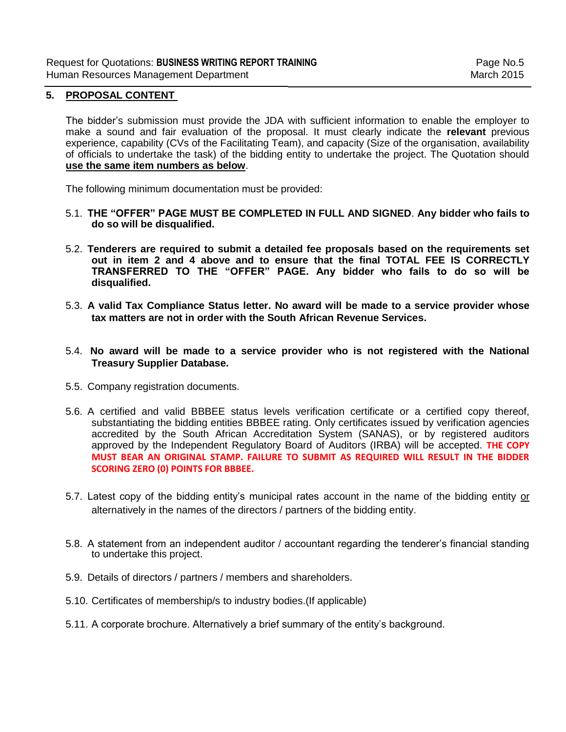#### **5. PROPOSAL CONTENT**

The bidder's submission must provide the JDA with sufficient information to enable the employer to make a sound and fair evaluation of the proposal. It must clearly indicate the **relevant** previous experience, capability (CVs of the Facilitating Team), and capacity (Size of the organisation, availability of officials to undertake the task) of the bidding entity to undertake the project. The Quotation should **use the same item numbers as below**.

The following minimum documentation must be provided:

- 5.1. **THE "OFFER" PAGE MUST BE COMPLETED IN FULL AND SIGNED**. **Any bidder who fails to do so will be disqualified.**
- 5.2. **Tenderers are required to submit a detailed fee proposals based on the requirements set out in item 2 and 4 above and to ensure that the final TOTAL FEE IS CORRECTLY TRANSFERRED TO THE "OFFER" PAGE. Any bidder who fails to do so will be disqualified.**
- 5.3. **A valid Tax Compliance Status letter. No award will be made to a service provider whose tax matters are not in order with the South African Revenue Services.**
- 5.4. **No award will be made to a service provider who is not registered with the National Treasury Supplier Database.**
- 5.5. Company registration documents.
- 5.6. A certified and valid BBBEE status levels verification certificate or a certified copy thereof, substantiating the bidding entities BBBEE rating. Only certificates issued by verification agencies accredited by the South African Accreditation System (SANAS), or by registered auditors approved by the Independent Regulatory Board of Auditors (IRBA) will be accepted. **THE COPY MUST BEAR AN ORIGINAL STAMP. FAILURE TO SUBMIT AS REQUIRED WILL RESULT IN THE BIDDER SCORING ZERO (0) POINTS FOR BBBEE.**
- 5.7. Latest copy of the bidding entity's municipal rates account in the name of the bidding entity or alternatively in the names of the directors / partners of the bidding entity.
- 5.8. A statement from an independent auditor / accountant regarding the tenderer's financial standing to undertake this project.
- 5.9. Details of directors / partners / members and shareholders.
- 5.10. Certificates of membership/s to industry bodies.(If applicable)
- 5.11. A corporate brochure. Alternatively a brief summary of the entity's background.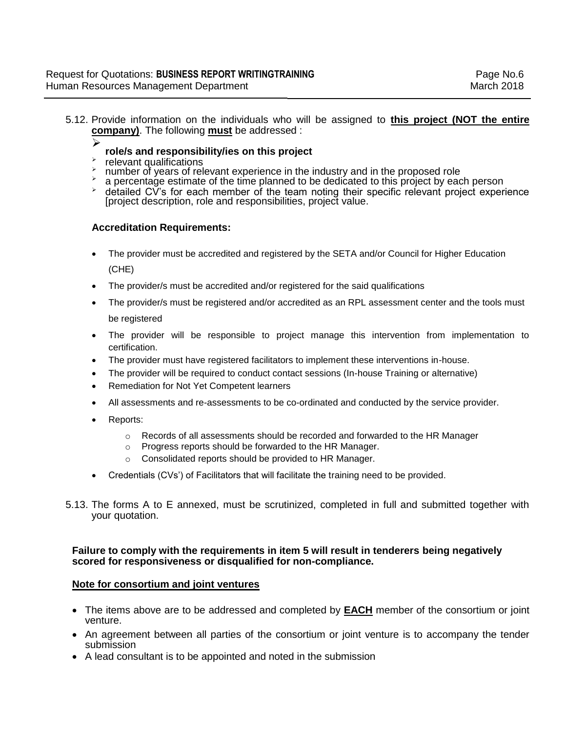5.12. Provide information on the individuals who will be assigned to **this project (NOT the entire company)**. The following **must** be addressed :

#### ➤ **role/s and responsibility/ies on this project**

- ⋗ relevant qualifications
- number of years of relevant experience in the industry and in the proposed role
- a percentage estimate of the time planned to be dedicated to this project by each person
- $\rightarrow$  detailed CV's for each member of the team noting their specific relevant project experience [project description, role and responsibilities, project value.

#### **Accreditation Requirements:**

- The provider must be accredited and registered by the SETA and/or Council for Higher Education (CHE)
- The provider/s must be accredited and/or registered for the said qualifications
- The provider/s must be registered and/or accredited as an RPL assessment center and the tools must be registered
- The provider will be responsible to project manage this intervention from implementation to certification.
- The provider must have registered facilitators to implement these interventions in-house.
- The provider will be required to conduct contact sessions (In-house Training or alternative)
- Remediation for Not Yet Competent learners
- All assessments and re-assessments to be co-ordinated and conducted by the service provider.
- Reports:
	- $\circ$  Records of all assessments should be recorded and forwarded to the HR Manager
	- o Progress reports should be forwarded to the HR Manager.
	- Consolidated reports should be provided to HR Manager.
- Credentials (CVs') of Facilitators that will facilitate the training need to be provided.
- 5.13. The forms A to E annexed, must be scrutinized, completed in full and submitted together with your quotation.

#### **Failure to comply with the requirements in item 5 will result in tenderers being negatively scored for responsiveness or disqualified for non-compliance.**

#### **Note for consortium and joint ventures**

- The items above are to be addressed and completed by **EACH** member of the consortium or joint venture.
- An agreement between all parties of the consortium or joint venture is to accompany the tender submission
- A lead consultant is to be appointed and noted in the submission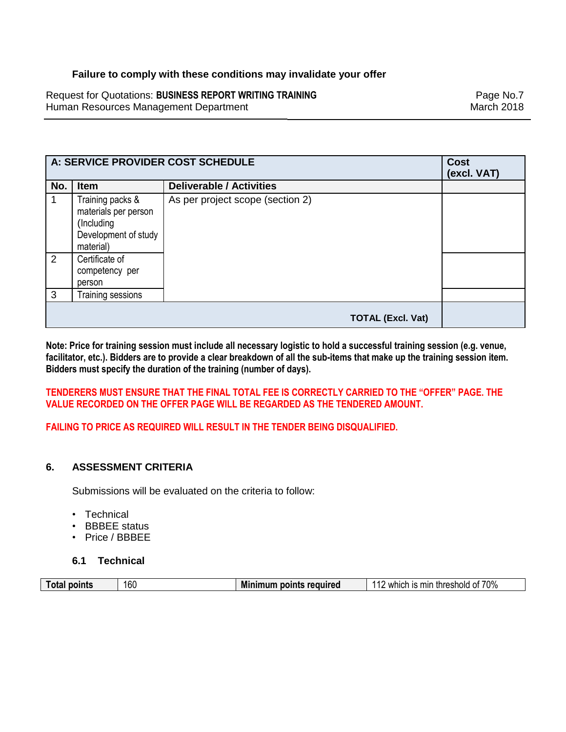# **Failure to comply with these conditions may invalidate your offer**

Request for Quotations: **BUSINESS REPORT WRITING TRAINING Example 2018** Page No.7 Human Resources Management Department March 2018

| A: SERVICE PROVIDER COST SCHEDULE |                                                                                             | <b>Cost</b><br>(excl. VAT)       |  |
|-----------------------------------|---------------------------------------------------------------------------------------------|----------------------------------|--|
| No.                               | <b>Item</b>                                                                                 | <b>Deliverable / Activities</b>  |  |
|                                   | Training packs &<br>materials per person<br>(Including<br>Development of study<br>material) | As per project scope (section 2) |  |
| 2                                 | Certificate of<br>competency per<br>person                                                  |                                  |  |
| 3                                 | <b>Training sessions</b>                                                                    |                                  |  |
|                                   |                                                                                             | <b>TOTAL (Excl. Vat)</b>         |  |

**Note: Price for training session must include all necessary logistic to hold a successful training session (e.g. venue, facilitator, etc.). Bidders are to provide a clear breakdown of all the sub-items that make up the training session item. Bidders must specify the duration of the training (number of days).**

**TENDERERS MUST ENSURE THAT THE FINAL TOTAL FEE IS CORRECTLY CARRIED TO THE "OFFER" PAGE. THE VALUE RECORDED ON THE OFFER PAGE WILL BE REGARDED AS THE TENDERED AMOUNT.** 

**FAILING TO PRICE AS REQUIRED WILL RESULT IN THE TENDER BEING DISQUALIFIED.**

# **6. ASSESSMENT CRITERIA**

Submissions will be evaluated on the criteria to follow:

- Technical
- BBBEE status
- Price / BBBEE

# **6.1 Technical**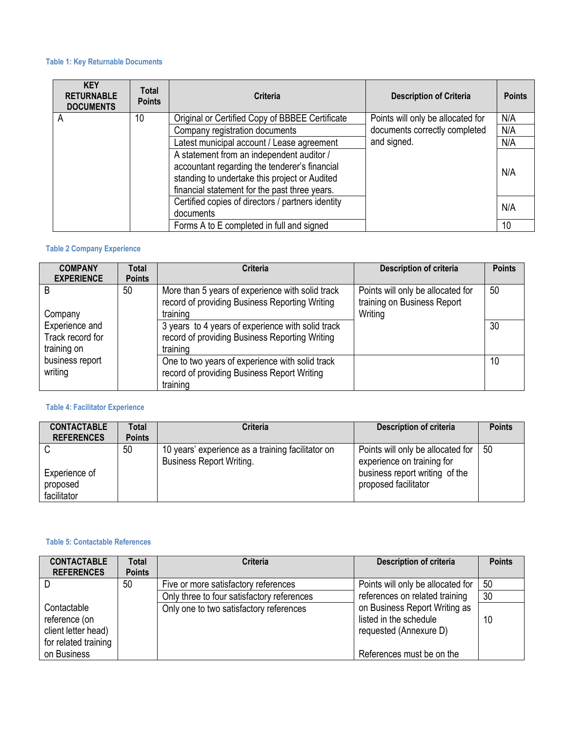#### **Table 1: Key Returnable Documents**

| <b>KEY</b><br><b>RETURNABLE</b><br><b>DOCUMENTS</b> | Total<br><b>Points</b> | Criteria                                                                                                                                                                                     | <b>Description of Criteria</b>    | <b>Points</b> |
|-----------------------------------------------------|------------------------|----------------------------------------------------------------------------------------------------------------------------------------------------------------------------------------------|-----------------------------------|---------------|
| A                                                   | 10                     | Original or Certified Copy of BBBEE Certificate                                                                                                                                              | Points will only be allocated for | N/A           |
|                                                     |                        | Company registration documents                                                                                                                                                               | documents correctly completed     | N/A           |
|                                                     |                        | Latest municipal account / Lease agreement                                                                                                                                                   | and signed.                       | N/A           |
|                                                     |                        | A statement from an independent auditor /<br>accountant regarding the tenderer's financial<br>standing to undertake this project or Audited<br>financial statement for the past three years. |                                   | N/A           |
|                                                     |                        | Certified copies of directors / partners identity<br>documents                                                                                                                               |                                   | N/A           |
|                                                     |                        | Forms A to E completed in full and signed                                                                                                                                                    |                                   | 10            |

### **Table 2 Company Experience**

| <b>COMPANY</b><br><b>EXPERIENCE</b>               | <b>Total</b><br><b>Points</b> | <b>Criteria</b>                                                                                                 | Description of criteria                                                     | <b>Points</b> |
|---------------------------------------------------|-------------------------------|-----------------------------------------------------------------------------------------------------------------|-----------------------------------------------------------------------------|---------------|
| B<br>Company                                      | 50                            | More than 5 years of experience with solid track<br>record of providing Business Reporting Writing<br>training  | Points will only be allocated for<br>training on Business Report<br>Writing | 50            |
| Experience and<br>Track record for<br>training on |                               | 3 years to 4 years of experience with solid track<br>record of providing Business Reporting Writing<br>training |                                                                             | 30            |
| business report<br>writing                        |                               | One to two years of experience with solid track<br>record of providing Business Report Writing<br>training      |                                                                             | 10            |

### **Table 4: Facilitator Experience**

| <b>CONTACTABLE</b> | Total         | Criteria                                                                             | Description of criteria                                         | <b>Points</b> |
|--------------------|---------------|--------------------------------------------------------------------------------------|-----------------------------------------------------------------|---------------|
| <b>REFERENCES</b>  | <b>Points</b> |                                                                                      |                                                                 |               |
|                    | 50            | 10 years' experience as a training facilitator on<br><b>Business Report Writing.</b> | Points will only be allocated for<br>experience on training for | 50            |
| Experience of      |               |                                                                                      | business report writing of the                                  |               |
| proposed           |               |                                                                                      | proposed facilitator                                            |               |
| facilitator        |               |                                                                                      |                                                                 |               |

### **Table 5: Contactable References**

| <b>CONTACTABLE</b><br><b>REFERENCES</b>                                     | <b>Total</b><br><b>Points</b> | <b>Criteria</b>                            | <b>Description of criteria</b>                                                    | <b>Points</b> |
|-----------------------------------------------------------------------------|-------------------------------|--------------------------------------------|-----------------------------------------------------------------------------------|---------------|
|                                                                             | 50                            | Five or more satisfactory references       | Points will only be allocated for                                                 | 50            |
|                                                                             |                               | Only three to four satisfactory references | references on related training                                                    | 30            |
| Contactable<br>reference (on<br>client letter head)<br>for related training |                               | Only one to two satisfactory references    | on Business Report Writing as<br>listed in the schedule<br>requested (Annexure D) | 10            |
| on Business                                                                 |                               |                                            | References must be on the                                                         |               |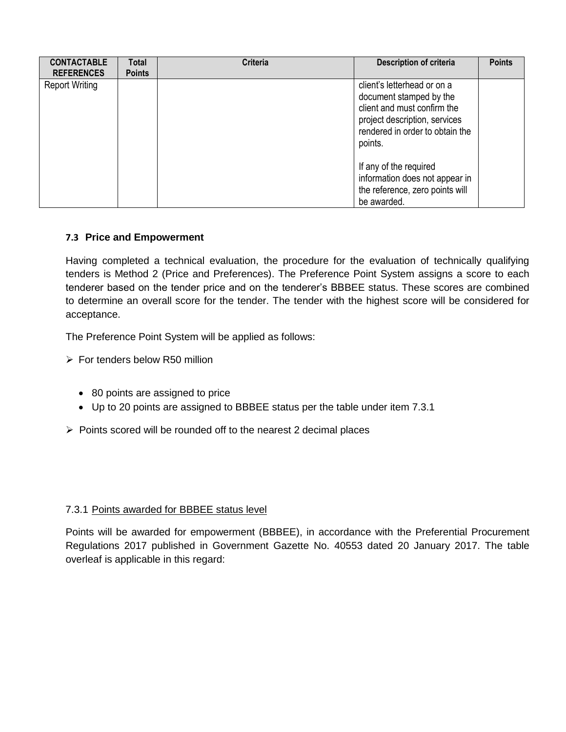| <b>CONTACTABLE</b><br><b>REFERENCES</b> | Total<br><b>Points</b> | <b>Criteria</b> | <b>Description of criteria</b>                                                                                                                                       | <b>Points</b> |
|-----------------------------------------|------------------------|-----------------|----------------------------------------------------------------------------------------------------------------------------------------------------------------------|---------------|
| <b>Report Writing</b>                   |                        |                 | client's letterhead or on a<br>document stamped by the<br>client and must confirm the<br>project description, services<br>rendered in order to obtain the<br>points. |               |
|                                         |                        |                 | If any of the required<br>information does not appear in<br>the reference, zero points will<br>be awarded.                                                           |               |

# **7.3 Price and Empowerment**

Having completed a technical evaluation, the procedure for the evaluation of technically qualifying tenders is Method 2 (Price and Preferences). The Preference Point System assigns a score to each tenderer based on the tender price and on the tenderer's BBBEE status. These scores are combined to determine an overall score for the tender. The tender with the highest score will be considered for acceptance.

The Preference Point System will be applied as follows:

- $\triangleright$  For tenders below R50 million
	- 80 points are assigned to price
	- Up to 20 points are assigned to BBBEE status per the table under item 7.3.1
- $\triangleright$  Points scored will be rounded off to the nearest 2 decimal places

# 7.3.1 Points awarded for BBBEE status level

Points will be awarded for empowerment (BBBEE), in accordance with the Preferential Procurement Regulations 2017 published in Government Gazette No. 40553 dated 20 January 2017. The table overleaf is applicable in this regard: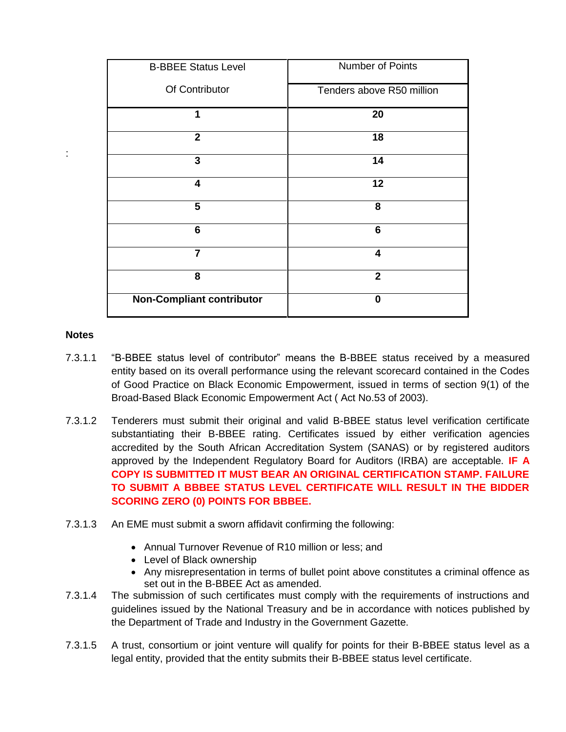| <b>B-BBEE Status Level</b>       | Number of Points          |
|----------------------------------|---------------------------|
| Of Contributor                   | Tenders above R50 million |
| 1                                | 20                        |
| $\overline{2}$                   | 18                        |
| 3                                | 14                        |
| $\overline{\mathbf{4}}$          | 12                        |
| 5                                | 8                         |
| 6                                | 6                         |
| $\overline{7}$                   | 4                         |
| 8                                | $\mathbf{2}$              |
| <b>Non-Compliant contributor</b> | 0                         |

### **Notes**

:

- 7.3.1.1 "B-BBEE status level of contributor" means the B-BBEE status received by a measured entity based on its overall performance using the relevant scorecard contained in the Codes of Good Practice on Black Economic Empowerment, issued in terms of section 9(1) of the Broad-Based Black Economic Empowerment Act ( Act No.53 of 2003).
- 7.3.1.2 Tenderers must submit their original and valid B-BBEE status level verification certificate substantiating their B-BBEE rating. Certificates issued by either verification agencies accredited by the South African Accreditation System (SANAS) or by registered auditors approved by the Independent Regulatory Board for Auditors (IRBA) are acceptable. **IF A COPY IS SUBMITTED IT MUST BEAR AN ORIGINAL CERTIFICATION STAMP. FAILURE TO SUBMIT A BBBEE STATUS LEVEL CERTIFICATE WILL RESULT IN THE BIDDER SCORING ZERO (0) POINTS FOR BBBEE.**
- 7.3.1.3 An EME must submit a sworn affidavit confirming the following:
	- Annual Turnover Revenue of R10 million or less; and
	- Level of Black ownership
	- Any misrepresentation in terms of bullet point above constitutes a criminal offence as set out in the B-BBEE Act as amended.
- 7.3.1.4 The submission of such certificates must comply with the requirements of instructions and guidelines issued by the National Treasury and be in accordance with notices published by the Department of Trade and Industry in the Government Gazette.
- 7.3.1.5 A trust, consortium or joint venture will qualify for points for their B-BBEE status level as a legal entity, provided that the entity submits their B-BBEE status level certificate.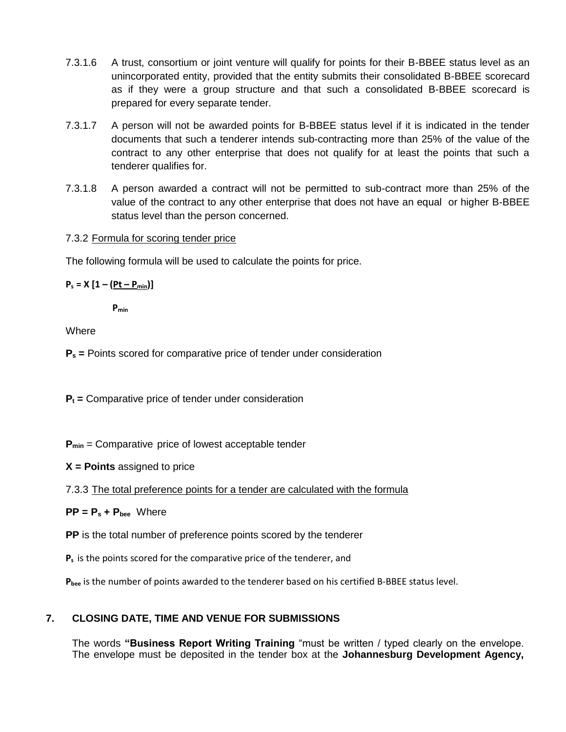- 7.3.1.6 A trust, consortium or joint venture will qualify for points for their B-BBEE status level as an unincorporated entity, provided that the entity submits their consolidated B-BBEE scorecard as if they were a group structure and that such a consolidated B-BBEE scorecard is prepared for every separate tender.
- 7.3.1.7 A person will not be awarded points for B-BBEE status level if it is indicated in the tender documents that such a tenderer intends sub-contracting more than 25% of the value of the contract to any other enterprise that does not qualify for at least the points that such a tenderer qualifies for.
- 7.3.1.8 A person awarded a contract will not be permitted to sub-contract more than 25% of the value of the contract to any other enterprise that does not have an equal or higher B-BBEE status level than the person concerned.

# 7.3.2 Formula for scoring tender price

The following formula will be used to calculate the points for price.

 $P_s = X [1 - (Pt - P_{min})]$ 

**Pmin**

**Where** 

**P<sup>s</sup> =** Points scored for comparative price of tender under consideration

**P<sup>t</sup> =** Comparative price of tender under consideration

**Pmin** = Comparative price of lowest acceptable tender

**X = Points** assigned to price

7.3.3 The total preference points for a tender are calculated with the formula

 $PP = P_s + P_{bee}$  Where

**PP** is the total number of preference points scored by the tenderer

**P<sup>s</sup>** is the points scored for the comparative price of the tenderer, and

**Pbee** is the number of points awarded to the tenderer based on his certified B-BBEE status level.

# **7. CLOSING DATE, TIME AND VENUE FOR SUBMISSIONS**

The words **"Business Report Writing Training** "must be written / typed clearly on the envelope. The envelope must be deposited in the tender box at the **Johannesburg Development Agency,**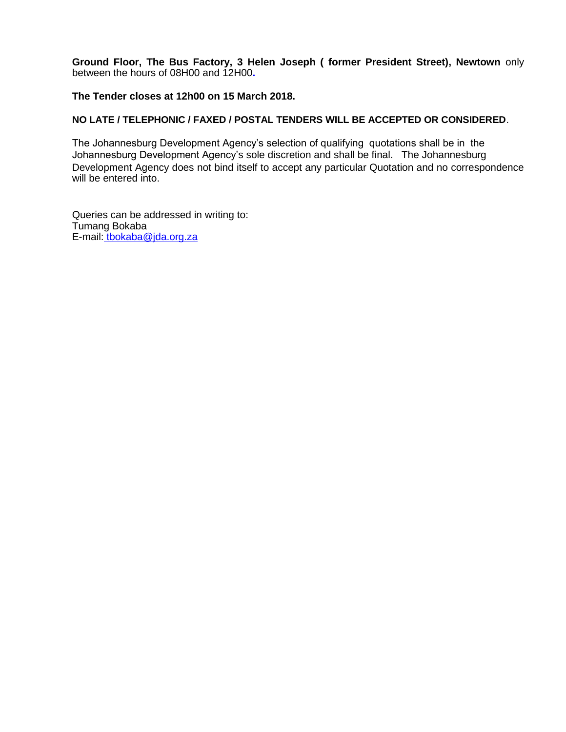**Ground Floor, The Bus Factory, 3 Helen Joseph ( former President Street), Newtown** only between the hours of 08H00 and 12H00**.**

#### **The Tender closes at 12h00 on 15 March 2018.**

#### **NO LATE / TELEPHONIC / FAXED / POSTAL TENDERS WILL BE ACCEPTED OR CONSIDERED**.

The Johannesburg Development Agency's selection of qualifying quotations shall be in the Johannesburg Development Agency's sole discretion and shall be final. The Johannesburg Development Agency does not bind itself to accept any particular Quotation and no correspondence will be entered into.

Queries can be addressed in writing to: Tumang Bokaba E-mail: [tbokaba@jda.org.za](mailto:%20tbokaba@jda.org.z)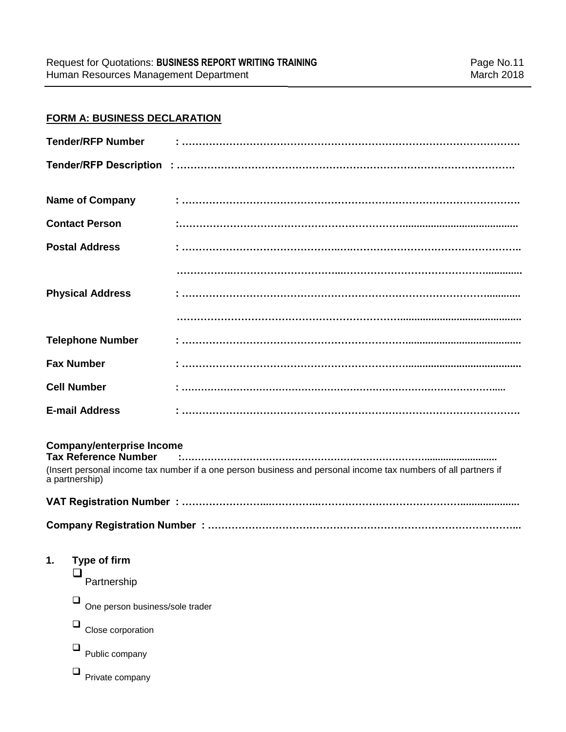# **FORM A: BUSINESS DECLARATION**

|    | <b>Tender/RFP Number</b>                                                          |                                                                                                                |
|----|-----------------------------------------------------------------------------------|----------------------------------------------------------------------------------------------------------------|
|    |                                                                                   |                                                                                                                |
|    | <b>Name of Company</b>                                                            |                                                                                                                |
|    | <b>Contact Person</b>                                                             |                                                                                                                |
|    | <b>Postal Address</b>                                                             |                                                                                                                |
|    |                                                                                   |                                                                                                                |
|    | <b>Physical Address</b>                                                           |                                                                                                                |
|    |                                                                                   |                                                                                                                |
|    | <b>Telephone Number</b>                                                           |                                                                                                                |
|    | <b>Fax Number</b>                                                                 |                                                                                                                |
|    | <b>Cell Number</b>                                                                | i<br>1 maanuuta maanuuta maanuuta maanuuta maanuuta maanuuta maanuu                                            |
|    | <b>E-mail Address</b>                                                             |                                                                                                                |
|    | <b>Company/enterprise Income</b><br><b>Tax Reference Number</b><br>a partnership) | (Insert personal income tax number if a one person business and personal income tax numbers of all partners if |
|    |                                                                                   |                                                                                                                |
| 1. | <b>Type of firm</b><br>Partnership                                                |                                                                                                                |
|    |                                                                                   |                                                                                                                |
|    | One person business/sole trader                                                   |                                                                                                                |
|    | Close corporation                                                                 |                                                                                                                |
|    | Public company                                                                    |                                                                                                                |
|    | Private company                                                                   |                                                                                                                |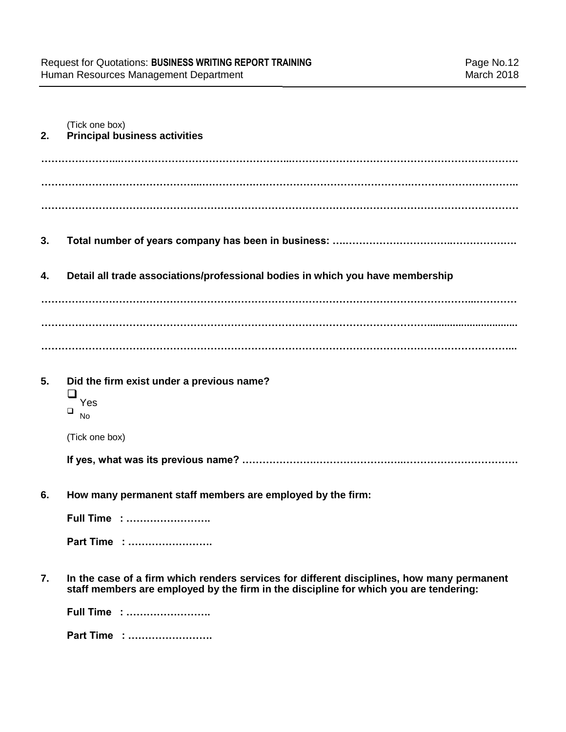| 2. | (Tick one box)<br><b>Principal business activities</b>                                                                                                                              |
|----|-------------------------------------------------------------------------------------------------------------------------------------------------------------------------------------|
|    |                                                                                                                                                                                     |
|    |                                                                                                                                                                                     |
| 3. |                                                                                                                                                                                     |
| 4. | Detail all trade associations/professional bodies in which you have membership                                                                                                      |
|    |                                                                                                                                                                                     |
|    |                                                                                                                                                                                     |
|    |                                                                                                                                                                                     |
| 5. | Did the firm exist under a previous name?<br>⊔<br>Yes<br>❏<br><b>No</b>                                                                                                             |
|    | (Tick one box)                                                                                                                                                                      |
|    |                                                                                                                                                                                     |
| 6. | How many permanent staff members are employed by the firm:                                                                                                                          |
|    | Full Time :                                                                                                                                                                         |
|    | Part Time :                                                                                                                                                                         |
| 7. | In the case of a firm which renders services for different disciplines, how many permanent<br>staff members are employed by the firm in the discipline for which you are tendering: |
|    | Full Time :                                                                                                                                                                         |

**Part Time : …………………….**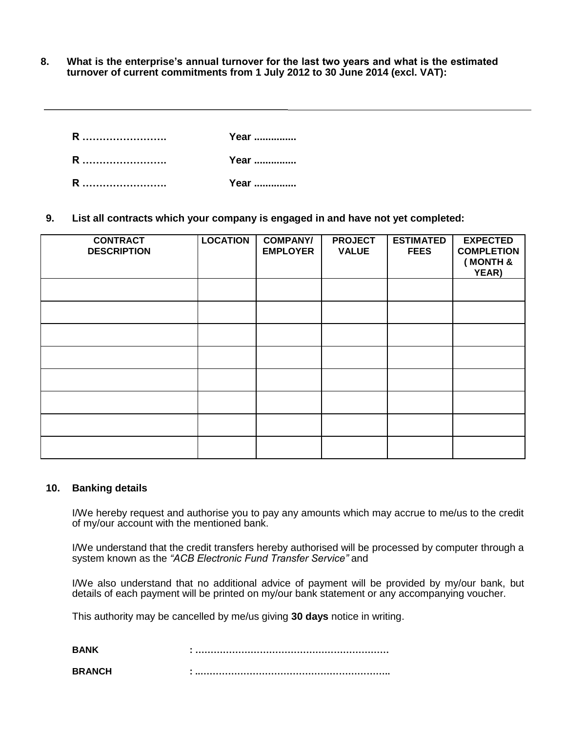**8. What is the enterprise's annual turnover for the last two years and what is the estimated turnover of current commitments from 1 July 2012 to 30 June 2014 (excl. VAT):** 

**R ……………………. Year ............... R ……………………. Year ............... R ……………………. Year ...............**

**9. List all contracts which your company is engaged in and have not yet completed:** 

| <b>CONTRACT</b><br><b>DESCRIPTION</b> | <b>LOCATION</b> | <b>COMPANY/</b><br><b>EMPLOYER</b> | <b>PROJECT</b><br><b>VALUE</b> | <b>ESTIMATED</b><br><b>FEES</b> | <b>EXPECTED</b><br><b>COMPLETION</b><br><b>MONTH &amp;</b><br>YEAR) |
|---------------------------------------|-----------------|------------------------------------|--------------------------------|---------------------------------|---------------------------------------------------------------------|
|                                       |                 |                                    |                                |                                 |                                                                     |
|                                       |                 |                                    |                                |                                 |                                                                     |
|                                       |                 |                                    |                                |                                 |                                                                     |
|                                       |                 |                                    |                                |                                 |                                                                     |
|                                       |                 |                                    |                                |                                 |                                                                     |
|                                       |                 |                                    |                                |                                 |                                                                     |
|                                       |                 |                                    |                                |                                 |                                                                     |
|                                       |                 |                                    |                                |                                 |                                                                     |

#### **10. Banking details**

I/We hereby request and authorise you to pay any amounts which may accrue to me/us to the credit of my/our account with the mentioned bank.

I/We understand that the credit transfers hereby authorised will be processed by computer through a system known as the *"ACB Electronic Fund Transfer Service"* and

I/We also understand that no additional advice of payment will be provided by my/our bank, but details of each payment will be printed on my/our bank statement or any accompanying voucher.

This authority may be cancelled by me/us giving **30 days** notice in writing.

| RANK          |  |
|---------------|--|
| <b>BRANCH</b> |  |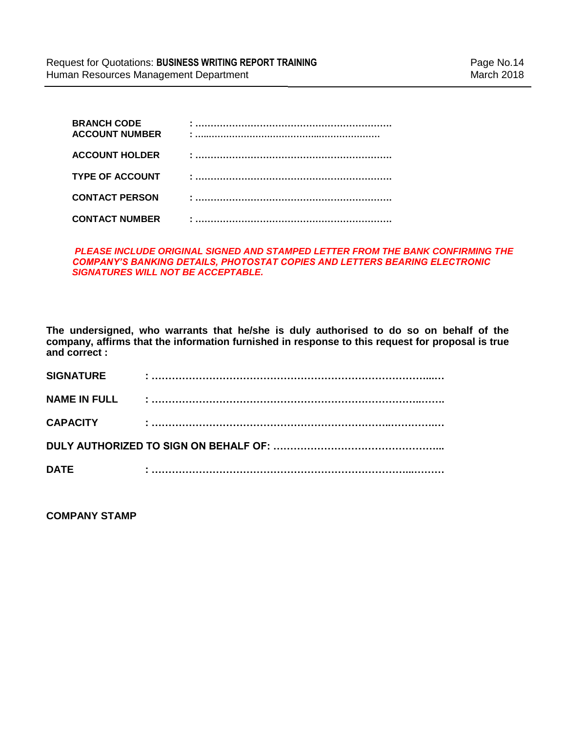| <b>BRANCH CODE</b><br><b>ACCOUNT NUMBER</b> |  |
|---------------------------------------------|--|
| <b>ACCOUNT HOLDER</b>                       |  |
| <b>TYPE OF ACCOUNT</b>                      |  |
| <b>CONTACT PERSON</b>                       |  |
| <b>CONTACT NUMBER</b>                       |  |

#### *PLEASE INCLUDE ORIGINAL SIGNED AND STAMPED LETTER FROM THE BANK CONFIRMING THE COMPANY'S BANKING DETAILS, PHOTOSTAT COPIES AND LETTERS BEARING ELECTRONIC SIGNATURES WILL NOT BE ACCEPTABLE.*

**The undersigned, who warrants that he/she is duly authorised to do so on behalf of the company, affirms that the information furnished in response to this request for proposal is true and correct :**

| <b>SIGNATURE</b>    |  |  |  |  |
|---------------------|--|--|--|--|
| <b>NAME IN FULL</b> |  |  |  |  |
| <b>CAPACITY</b>     |  |  |  |  |
|                     |  |  |  |  |
| <b>DATE</b>         |  |  |  |  |

**COMPANY STAMP**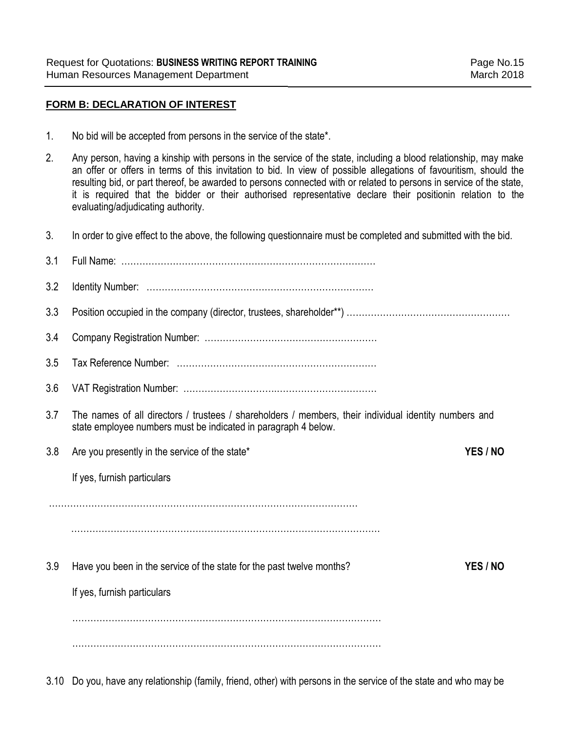### **FORM B: DECLARATION OF INTEREST**

- 1. No bid will be accepted from persons in the service of the state\*.
- 2. Any person, having a kinship with persons in the service of the state, including a blood relationship, may make an offer or offers in terms of this invitation to bid. In view of possible allegations of favouritism, should the resulting bid, or part thereof, be awarded to persons connected with or related to persons in service of the state, it is required that the bidder or their authorised representative declare their positionin relation to the evaluating/adjudicating authority.
- 3. In order to give effect to the above, the following questionnaire must be completed and submitted with the bid.

| 3.1 |                                                                                                                                                                         |          |
|-----|-------------------------------------------------------------------------------------------------------------------------------------------------------------------------|----------|
| 3.2 |                                                                                                                                                                         |          |
| 3.3 |                                                                                                                                                                         |          |
| 3.4 |                                                                                                                                                                         |          |
| 3.5 |                                                                                                                                                                         |          |
| 3.6 |                                                                                                                                                                         |          |
| 3.7 | The names of all directors / trustees / shareholders / members, their individual identity numbers and<br>state employee numbers must be indicated in paragraph 4 below. |          |
| 3.8 | Are you presently in the service of the state*                                                                                                                          | YES / NO |
|     | If yes, furnish particulars                                                                                                                                             |          |
|     |                                                                                                                                                                         |          |
|     |                                                                                                                                                                         |          |
| 3.9 | Have you been in the service of the state for the past twelve months?<br>If yes, furnish particulars                                                                    | YES / NO |
|     |                                                                                                                                                                         |          |
|     |                                                                                                                                                                         |          |
|     |                                                                                                                                                                         |          |

3.10 Do you, have any relationship (family, friend, other) with persons in the service of the state and who may be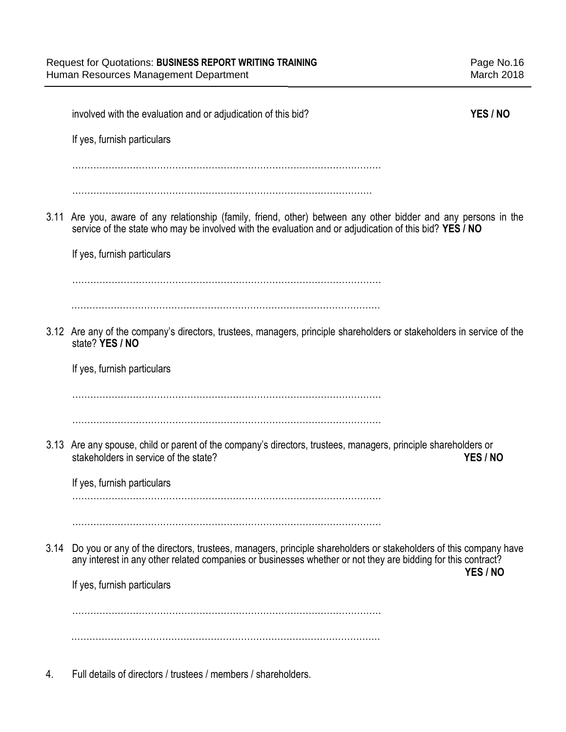|      | involved with the evaluation and or adjudication of this bid?                                                                                                                                                                   | YES / NO |
|------|---------------------------------------------------------------------------------------------------------------------------------------------------------------------------------------------------------------------------------|----------|
|      | If yes, furnish particulars                                                                                                                                                                                                     |          |
|      |                                                                                                                                                                                                                                 |          |
|      |                                                                                                                                                                                                                                 |          |
|      | 3.11 Are you, aware of any relationship (family, friend, other) between any other bidder and any persons in the<br>service of the state who may be involved with the evaluation and or adjudication of this bid? YES / NO       |          |
|      | If yes, furnish particulars                                                                                                                                                                                                     |          |
|      |                                                                                                                                                                                                                                 |          |
|      | 3.12 Are any of the company's directors, trustees, managers, principle shareholders or stakeholders in service of the<br>state? YES / NO                                                                                        |          |
|      | If yes, furnish particulars                                                                                                                                                                                                     |          |
|      |                                                                                                                                                                                                                                 |          |
|      |                                                                                                                                                                                                                                 |          |
|      | 3.13 Are any spouse, child or parent of the company's directors, trustees, managers, principle shareholders or<br>stakeholders in service of the state?                                                                         | YES / NO |
|      | If yes, furnish particulars                                                                                                                                                                                                     |          |
|      |                                                                                                                                                                                                                                 |          |
|      |                                                                                                                                                                                                                                 |          |
| 3.14 | Do you or any of the directors, trustees, managers, principle shareholders or stakeholders of this company have<br>any interest in any other related companies or businesses whether or not they are bidding for this contract? | YES / NO |
|      | If yes, furnish particulars                                                                                                                                                                                                     |          |
|      |                                                                                                                                                                                                                                 |          |
|      |                                                                                                                                                                                                                                 |          |
|      |                                                                                                                                                                                                                                 |          |

4. Full details of directors / trustees / members / shareholders.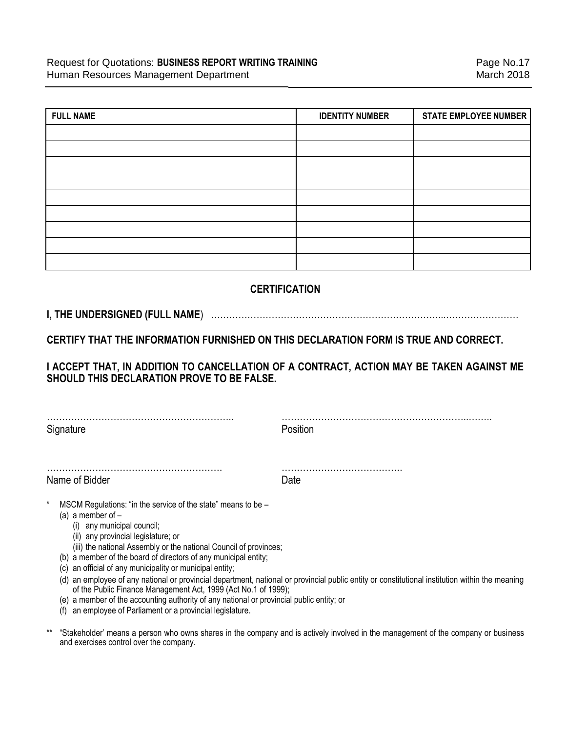| <b>FULL NAME</b> | <b>IDENTITY NUMBER</b> | <b>STATE EMPLOYEE NUMBER</b> |
|------------------|------------------------|------------------------------|
|                  |                        |                              |
|                  |                        |                              |
|                  |                        |                              |
|                  |                        |                              |
|                  |                        |                              |
|                  |                        |                              |
|                  |                        |                              |
|                  |                        |                              |
|                  |                        |                              |

# **CERTIFICATION**

# **I, THE UNDERSIGNED (FULL NAME**) …………………………………………………………………...……………………

**CERTIFY THAT THE INFORMATION FURNISHED ON THIS DECLARATION FORM IS TRUE AND CORRECT.**

**I ACCEPT THAT, IN ADDITION TO CANCELLATION OF A CONTRACT, ACTION MAY BE TAKEN AGAINST ME SHOULD THIS DECLARATION PROVE TO BE FALSE.**

| Signature      | Position |
|----------------|----------|
|                |          |
| Name of Bidder | Date     |

- MSCM Regulations: "in the service of the state" means to be  $-$ 
	- (a) a member of  $-$ 
		- (i) any municipal council;
		- (ii) any provincial legislature; or
		- (iii) the national Assembly or the national Council of provinces;
	- (b) a member of the board of directors of any municipal entity;
	- (c) an official of any municipality or municipal entity;
	- (d) an employee of any national or provincial department, national or provincial public entity or constitutional institution within the meaning of the Public Finance Management Act, 1999 (Act No.1 of 1999);
	- (e) a member of the accounting authority of any national or provincial public entity; or
	- (f) an employee of Parliament or a provincial legislature.

\*\* "Stakeholder' means a person who owns shares in the company and is actively involved in the management of the company or business and exercises control over the company.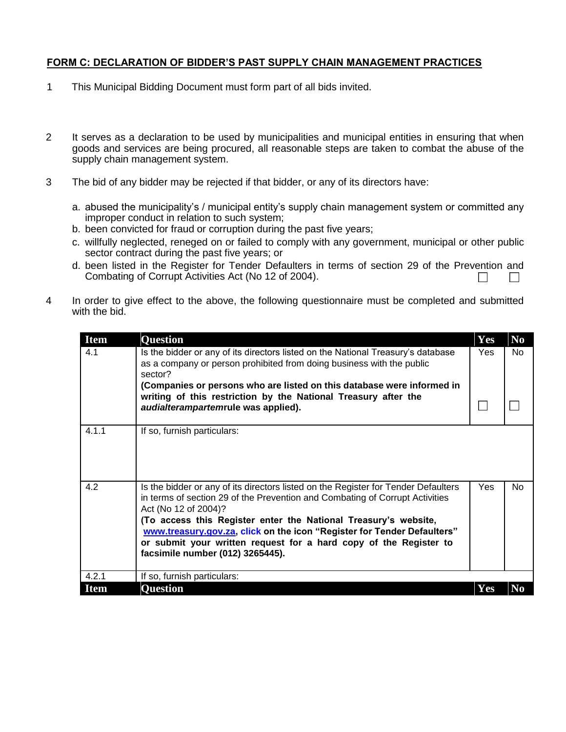### **FORM C: DECLARATION OF BIDDER'S PAST SUPPLY CHAIN MANAGEMENT PRACTICES**

- 1 This Municipal Bidding Document must form part of all bids invited.
- 2 It serves as a declaration to be used by municipalities and municipal entities in ensuring that when goods and services are being procured, all reasonable steps are taken to combat the abuse of the supply chain management system.
- 3 The bid of any bidder may be rejected if that bidder, or any of its directors have:
	- a. abused the municipality's / municipal entity's supply chain management system or committed any improper conduct in relation to such system;
	- b. been convicted for fraud or corruption during the past five years;
	- c. willfully neglected, reneged on or failed to comply with any government, municipal or other public sector contract during the past five years; or
	- d. been listed in the Register for Tender Defaulters in terms of section 29 of the Prevention and Combating of Corrupt Activities Act (No 12 of 2004). П  $\Box$
- 4 In order to give effect to the above, the following questionnaire must be completed and submitted with the bid.

| <b>Item</b> | <b>Question</b>                                                                                                                                                                                                                                                                                                                                                                                                                                   | <b>Yes</b> | N <sub>0</sub> |
|-------------|---------------------------------------------------------------------------------------------------------------------------------------------------------------------------------------------------------------------------------------------------------------------------------------------------------------------------------------------------------------------------------------------------------------------------------------------------|------------|----------------|
| 4.1         | Is the bidder or any of its directors listed on the National Treasury's database<br>as a company or person prohibited from doing business with the public<br>sector?                                                                                                                                                                                                                                                                              | Yes        | No             |
|             | (Companies or persons who are listed on this database were informed in<br>writing of this restriction by the National Treasury after the<br>audialterampartemrule was applied).                                                                                                                                                                                                                                                                   |            |                |
| 4.1.1       | If so, furnish particulars:                                                                                                                                                                                                                                                                                                                                                                                                                       |            |                |
| 4.2         | Is the bidder or any of its directors listed on the Register for Tender Defaulters<br>in terms of section 29 of the Prevention and Combating of Corrupt Activities<br>Act (No 12 of 2004)?<br>(To access this Register enter the National Treasury's website,<br>www.treasury.gov.za, click on the icon "Register for Tender Defaulters"<br>or submit your written request for a hard copy of the Register to<br>facsimile number (012) 3265445). | <b>Yes</b> | No.            |
| 4.2.1       | If so, furnish particulars:                                                                                                                                                                                                                                                                                                                                                                                                                       |            |                |
| <b>Item</b> | <b>Question</b>                                                                                                                                                                                                                                                                                                                                                                                                                                   | Yes        | N <sub>0</sub> |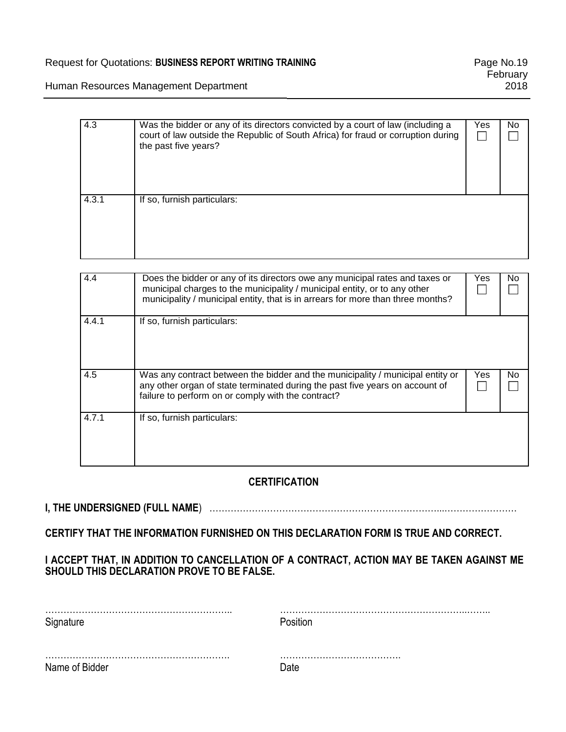# Request for Quotations: BUSINESS REPORT WRITING TRAINING<br>
Page No.19

**February** 2018

Human Resources Management Department

| 4.3   | Was the bidder or any of its directors convicted by a court of law (including a<br>court of law outside the Republic of South Africa) for fraud or corruption during<br>the past five years? | Yes | No. |
|-------|----------------------------------------------------------------------------------------------------------------------------------------------------------------------------------------------|-----|-----|
| 4.3.1 | If so, furnish particulars:                                                                                                                                                                  |     |     |

| 4.4   | Does the bidder or any of its directors owe any municipal rates and taxes or<br>municipal charges to the municipality / municipal entity, or to any other<br>municipality / municipal entity, that is in arrears for more than three months? | Yes | No |
|-------|----------------------------------------------------------------------------------------------------------------------------------------------------------------------------------------------------------------------------------------------|-----|----|
| 4.4.1 | If so, furnish particulars:                                                                                                                                                                                                                  |     |    |
| 4.5   | Was any contract between the bidder and the municipality / municipal entity or<br>any other organ of state terminated during the past five years on account of<br>failure to perform on or comply with the contract?                         | Yes | No |
| 4.7.1 | If so, furnish particulars:                                                                                                                                                                                                                  |     |    |

# **CERTIFICATION**

# **I, THE UNDERSIGNED (FULL NAME**) …………………………………………………………………...……………………

**CERTIFY THAT THE INFORMATION FURNISHED ON THIS DECLARATION FORM IS TRUE AND CORRECT.**

# **I ACCEPT THAT, IN ADDITION TO CANCELLATION OF A CONTRACT, ACTION MAY BE TAKEN AGAINST ME SHOULD THIS DECLARATION PROVE TO BE FALSE.**

| Signature      | Position. |
|----------------|-----------|
| Name of Bidder |           |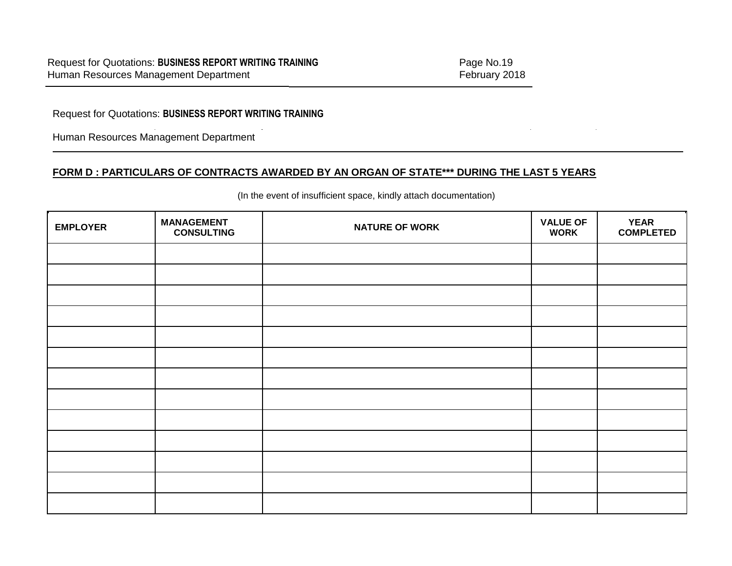Request for Quotations: **BUSINESS REPORT WRITING TRAINING**

Human Resources Management Department

# **FORM D : PARTICULARS OF CONTRACTS AWARDED BY AN ORGAN OF STATE\*\*\* DURING THE LAST 5 YEARS**

| <b>EMPLOYER</b> | <b>MANAGEMENT</b><br><b>CONSULTING</b> | <b>NATURE OF WORK</b> | <b>VALUE OF</b><br><b>WORK</b> | <b>YEAR</b><br><b>COMPLETED</b> |
|-----------------|----------------------------------------|-----------------------|--------------------------------|---------------------------------|
|                 |                                        |                       |                                |                                 |
|                 |                                        |                       |                                |                                 |
|                 |                                        |                       |                                |                                 |
|                 |                                        |                       |                                |                                 |
|                 |                                        |                       |                                |                                 |
|                 |                                        |                       |                                |                                 |
|                 |                                        |                       |                                |                                 |
|                 |                                        |                       |                                |                                 |
|                 |                                        |                       |                                |                                 |
|                 |                                        |                       |                                |                                 |
|                 |                                        |                       |                                |                                 |
|                 |                                        |                       |                                |                                 |
|                 |                                        |                       |                                |                                 |

(In the event of insufficient space, kindly attach documentation)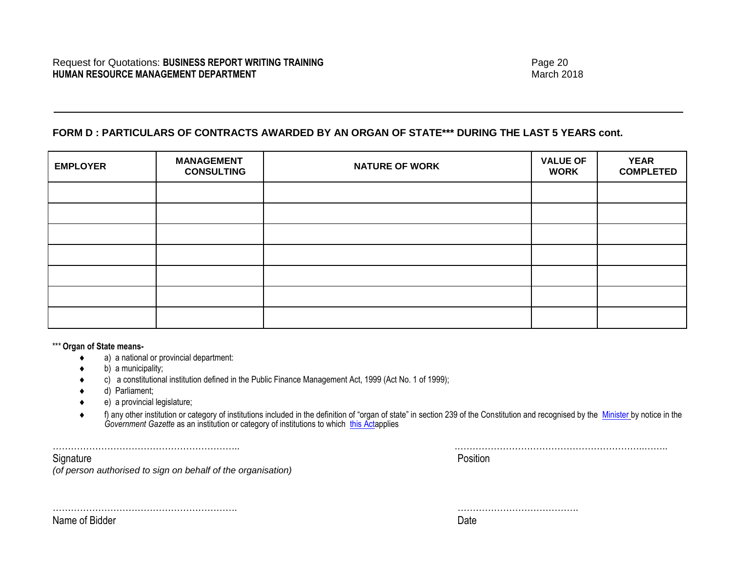# **FORM D : PARTICULARS OF CONTRACTS AWARDED BY AN ORGAN OF STATE\*\*\* DURING THE LAST 5 YEARS cont.**

| <b>EMPLOYER</b> | <b>MANAGEMENT</b><br><b>CONSULTING</b> | <b>NATURE OF WORK</b> | <b>VALUE OF</b><br><b>WORK</b> | <b>YEAR</b><br><b>COMPLETED</b> |
|-----------------|----------------------------------------|-----------------------|--------------------------------|---------------------------------|
|                 |                                        |                       |                                |                                 |
|                 |                                        |                       |                                |                                 |
|                 |                                        |                       |                                |                                 |
|                 |                                        |                       |                                |                                 |
|                 |                                        |                       |                                |                                 |
|                 |                                        |                       |                                |                                 |
|                 |                                        |                       |                                |                                 |

\*\*\* **Organ of State means-**

- a) a national or provincial department:
- b) a municipality;
- c) a constitutional institution defined in the Public Finance Management Act, 1999 (Act No. 1 of 1999);
- d) Parliament;
- e) a provincial legislature;
- ◆ f) any other institution or category of institutions included in the definition of "organ of state" in section 239 of the Constitution and recognised by the [Minister](javascript:void(0);) by notice in the Government Gazette as an institution or category of institutions to which [this Acta](javascript:void(0);)pplies

…………………………………………………….. .……………………………………………………..……..

Signature **Position** 

*(of person authorised to sign on behalf of the organisation)*

Name of Bidder **Date** 

……………………………………………………. ………………………………….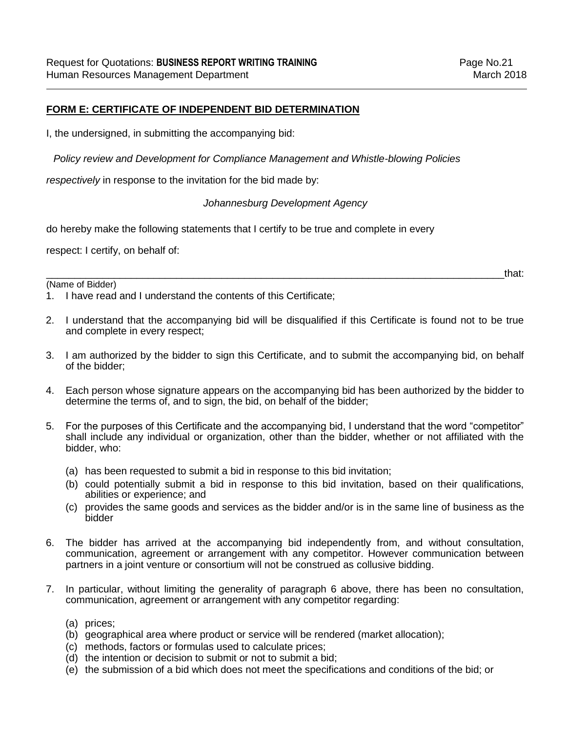# **FORM E: CERTIFICATE OF INDEPENDENT BID DETERMINATION**

I, the undersigned, in submitting the accompanying bid:

*Policy review and Development for Compliance Management and Whistle-blowing Policies* 

*respectively* in response to the invitation for the bid made by:

### *Johannesburg Development Agency*

do hereby make the following statements that I certify to be true and complete in every

respect: I certify, on behalf of:

(Name of Bidder)

\_\_\_\_\_\_\_\_\_\_\_\_\_\_\_\_\_\_\_\_\_\_\_\_\_\_\_\_\_\_\_\_\_\_\_\_\_\_\_\_\_\_\_\_\_\_\_\_\_\_\_\_\_\_\_\_\_\_\_\_\_\_\_\_\_\_\_\_\_\_\_\_\_\_\_\_\_\_\_\_\_that:

1. I have read and I understand the contents of this Certificate;

- 2. I understand that the accompanying bid will be disqualified if this Certificate is found not to be true and complete in every respect;
- 3. I am authorized by the bidder to sign this Certificate, and to submit the accompanying bid, on behalf of the bidder;
- 4. Each person whose signature appears on the accompanying bid has been authorized by the bidder to determine the terms of, and to sign, the bid, on behalf of the bidder;
- 5. For the purposes of this Certificate and the accompanying bid, I understand that the word "competitor" shall include any individual or organization, other than the bidder, whether or not affiliated with the bidder, who:
	- (a) has been requested to submit a bid in response to this bid invitation;
	- (b) could potentially submit a bid in response to this bid invitation, based on their qualifications, abilities or experience; and
	- (c) provides the same goods and services as the bidder and/or is in the same line of business as the bidder
- 6. The bidder has arrived at the accompanying bid independently from, and without consultation, communication, agreement or arrangement with any competitor. However communication between partners in a joint venture or consortium will not be construed as collusive bidding.
- 7. In particular, without limiting the generality of paragraph 6 above, there has been no consultation, communication, agreement or arrangement with any competitor regarding:
	- (a) prices;
	- (b) geographical area where product or service will be rendered (market allocation);
	- (c) methods, factors or formulas used to calculate prices;
	- (d) the intention or decision to submit or not to submit a bid;
	- (e) the submission of a bid which does not meet the specifications and conditions of the bid; or